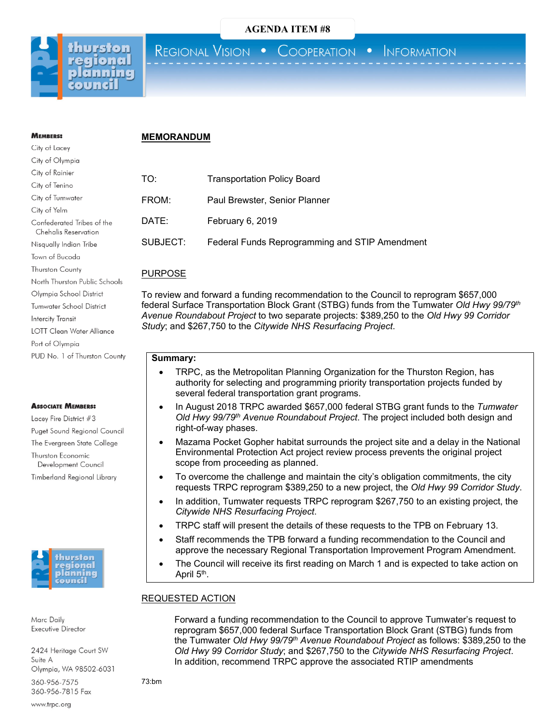

# REGIONAL VISION . COOPERATION . INFORMATION

### **MEMORANDUM**

| TO:      | <b>Transportation Policy Board</b>             |
|----------|------------------------------------------------|
| FROM:    | Paul Brewster, Senior Planner                  |
| DATE:    | February 6, 2019                               |
| SUBJECT: | Federal Funds Reprogramming and STIP Amendment |

# PURPOSE

To review and forward a funding recommendation to the Council to reprogram \$657,000 federal Surface Transportation Block Grant (STBG) funds from the Tumwater *Old Hwy 99/79th Avenue Roundabout Project* to two separate projects: \$389,250 to the *Old Hwy 99 Corridor Study*; and \$267,750 to the *Citywide NHS Resurfacing Project*.

# **Summary:**

- TRPC, as the Metropolitan Planning Organization for the Thurston Region, has authority for selecting and programming priority transportation projects funded by several federal transportation grant programs.
- In August 2018 TRPC awarded \$657,000 federal STBG grant funds to the *Tumwater Old Hwy 99/79th Avenue Roundabout Project*. The project included both design and right-of-way phases.
- Mazama Pocket Gopher habitat surrounds the project site and a delay in the National Environmental Protection Act project review process prevents the original project scope from proceeding as planned.
- To overcome the challenge and maintain the city's obligation commitments, the city requests TRPC reprogram \$389,250 to a new project, the *Old Hwy 99 Corridor Study*.
- In addition, Tumwater requests TRPC reprogram \$267,750 to an existing project, the *Citywide NHS Resurfacing Project*.
- TRPC staff will present the details of these requests to the TPB on February 13.
- Staff recommends the TPB forward a funding recommendation to the Council and approve the necessary Regional Transportation Improvement Program Amendment.
- The Council will receive its first reading on March 1 and is expected to take action on April 5<sup>th</sup>.

## REQUESTED ACTION

Forward a funding recommendation to the Council to approve Tumwater's request to reprogram \$657,000 federal Surface Transportation Block Grant (STBG) funds from the Tumwater *Old Hwy 99/79th Avenue Roundabout Project* as follows: \$389,250 to the *Old Hwy 99 Corridor Study*; and \$267,750 to the *Citywide NHS Resurfacing Project*. In addition, recommend TRPC approve the associated RTIP amendments

73:bm

# **MEMBERS:** City of Lacey

| City of Olympia                                    |
|----------------------------------------------------|
| City of Rainier                                    |
| City of Tenino                                     |
| City of Tumwater                                   |
| City of Yelm                                       |
| Confederated Tribes of the<br>Chehalis Reservation |
| Nisqually Indian Tribe                             |
| Town of Bucoda                                     |
| <b>Thurston County</b>                             |
| North Thurston Public Schools                      |
| Olympia School District                            |
| <b>Tumwater School District</b>                    |
| Intercity Transit                                  |
| LOTT Clean Water Alliance                          |
| Port of Olympia                                    |
| PUD No. 1 of Thurston County                       |
|                                                    |

# **ASSOCIATE MEMBERS:**

Lacey Fire District #3 Puget Sound Regional Council The Evergreen State College Thurston Economic Development Council Timberland Regional Library



Marc Daily Executive Director

2424 Heritage Court SW Suite A Olympia, WA 98502-6031

360-956-7575 360-956-7815 Fax

www.trpc.org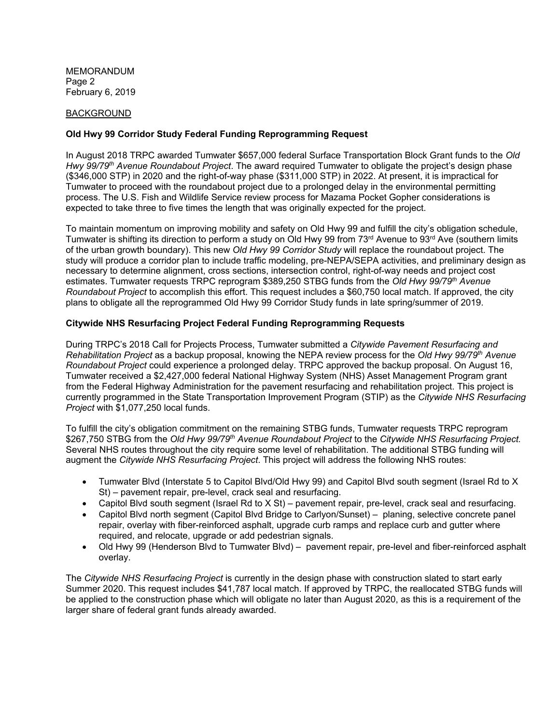MEMORANDUM Page 2 February 6, 2019

### BACKGROUND

# **Old Hwy 99 Corridor Study Federal Funding Reprogramming Request**

In August 2018 TRPC awarded Tumwater \$657,000 federal Surface Transportation Block Grant funds to the *Old Hwy 99/79th Avenue Roundabout Project*. The award required Tumwater to obligate the project's design phase (\$346,000 STP) in 2020 and the right-of-way phase (\$311,000 STP) in 2022. At present, it is impractical for Tumwater to proceed with the roundabout project due to a prolonged delay in the environmental permitting process. The U.S. Fish and Wildlife Service review process for Mazama Pocket Gopher considerations is expected to take three to five times the length that was originally expected for the project.

To maintain momentum on improving mobility and safety on Old Hwy 99 and fulfill the city's obligation schedule, Tumwater is shifting its direction to perform a study on Old Hwy 99 from 73<sup>rd</sup> Avenue to 93<sup>rd</sup> Ave (southern limits of the urban growth boundary). This new *Old Hwy 99 Corridor Study* will replace the roundabout project. The study will produce a corridor plan to include traffic modeling, pre-NEPA/SEPA activities, and preliminary design as necessary to determine alignment, cross sections, intersection control, right-of-way needs and project cost estimates. Tumwater requests TRPC reprogram \$389,250 STBG funds from the *Old Hwy 99/79th Avenue Roundabout Project* to accomplish this effort. This request includes a \$60,750 local match. If approved, the city plans to obligate all the reprogrammed Old Hwy 99 Corridor Study funds in late spring/summer of 2019.

## **Citywide NHS Resurfacing Project Federal Funding Reprogramming Requests**

During TRPC's 2018 Call for Projects Process, Tumwater submitted a *Citywide Pavement Resurfacing and Rehabilitation Project* as a backup proposal, knowing the NEPA review process for the *Old Hwy 99/79th Avenue Roundabout Project* could experience a prolonged delay. TRPC approved the backup proposal. On August 16, Tumwater received a \$2,427,000 federal National Highway System (NHS) Asset Management Program grant from the Federal Highway Administration for the pavement resurfacing and rehabilitation project. This project is currently programmed in the State Transportation Improvement Program (STIP) as the *Citywide NHS Resurfacing Project* with \$1,077,250 local funds.

To fulfill the city's obligation commitment on the remaining STBG funds, Tumwater requests TRPC reprogram \$267,750 STBG from the *Old Hwy 99/79th Avenue Roundabout Project* to the *Citywide NHS Resurfacing Project.* Several NHS routes throughout the city require some level of rehabilitation. The additional STBG funding will augment the *Citywide NHS Resurfacing Project*. This project will address the following NHS routes:

- Tumwater Blvd (Interstate 5 to Capitol Blvd/Old Hwy 99) and Capitol Blvd south segment (Israel Rd to X St) – pavement repair, pre-level, crack seal and resurfacing.
- Capitol Blvd south segment (Israel Rd to X St) pavement repair, pre-level, crack seal and resurfacing.
- Capitol Blvd north segment (Capitol Blvd Bridge to Carlyon/Sunset) planing, selective concrete panel repair, overlay with fiber-reinforced asphalt, upgrade curb ramps and replace curb and gutter where required, and relocate, upgrade or add pedestrian signals.
- Old Hwy 99 (Henderson Blvd to Tumwater Blvd) pavement repair, pre-level and fiber-reinforced asphalt overlay.

The *Citywide NHS Resurfacing Project* is currently in the design phase with construction slated to start early Summer 2020. This request includes \$41,787 local match. If approved by TRPC, the reallocated STBG funds will be applied to the construction phase which will obligate no later than August 2020, as this is a requirement of the larger share of federal grant funds already awarded.